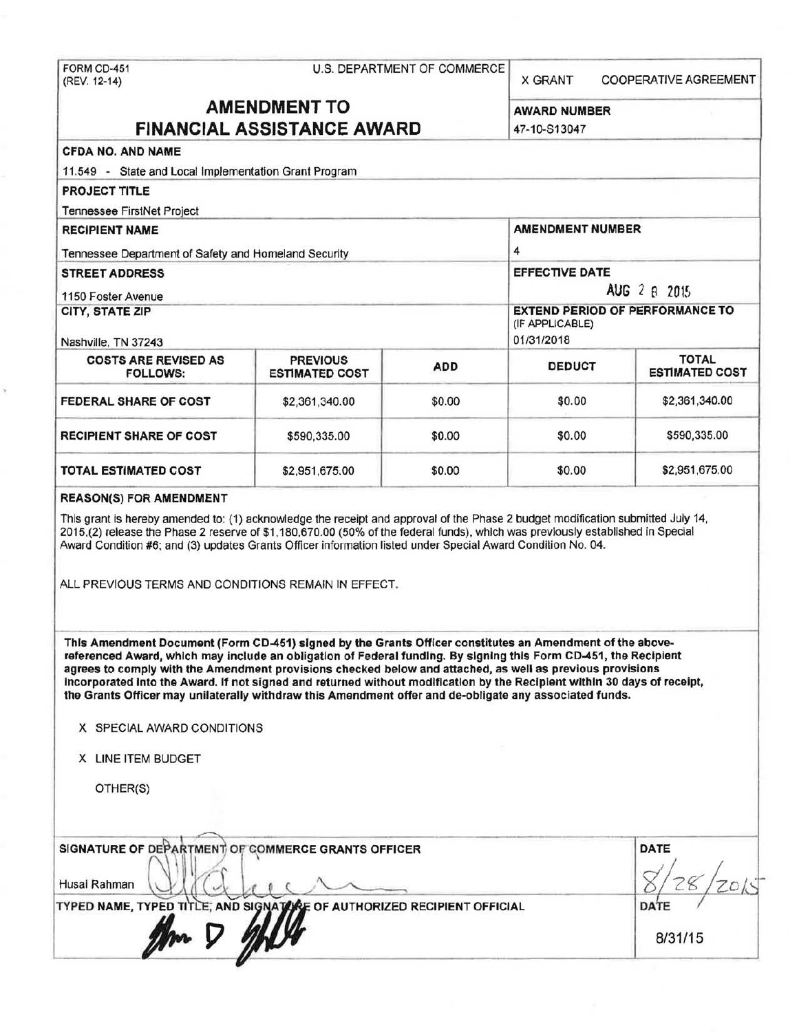X GRANT COOPERATIVE AGREEMENT

# **AMENDMENT TO** AWARD NUMBER

| <b>FINANCIAL ASSISTANCE AWARD</b>                                                                                                                                                                                                                                                                                                                                                                                                                                                                                                                                                                                                     |                |        | 47-10-S13047                                                                                            |                |                                                |                                          |            |               |                                       |
|---------------------------------------------------------------------------------------------------------------------------------------------------------------------------------------------------------------------------------------------------------------------------------------------------------------------------------------------------------------------------------------------------------------------------------------------------------------------------------------------------------------------------------------------------------------------------------------------------------------------------------------|----------------|--------|---------------------------------------------------------------------------------------------------------|----------------|------------------------------------------------|------------------------------------------|------------|---------------|---------------------------------------|
| <b>CFDA NO. AND NAME</b>                                                                                                                                                                                                                                                                                                                                                                                                                                                                                                                                                                                                              |                |        |                                                                                                         |                |                                                |                                          |            |               |                                       |
| 11.549 - State and Local Implementation Grant Program                                                                                                                                                                                                                                                                                                                                                                                                                                                                                                                                                                                 |                |        |                                                                                                         |                |                                                |                                          |            |               |                                       |
| <b>PROJECT TITLE</b>                                                                                                                                                                                                                                                                                                                                                                                                                                                                                                                                                                                                                  |                |        |                                                                                                         |                |                                                |                                          |            |               |                                       |
| Tennessee FirstNet Project                                                                                                                                                                                                                                                                                                                                                                                                                                                                                                                                                                                                            |                |        |                                                                                                         |                |                                                |                                          |            |               |                                       |
| <b>RECIPIENT NAME</b>                                                                                                                                                                                                                                                                                                                                                                                                                                                                                                                                                                                                                 |                |        | <b>AMENDMENT NUMBER</b>                                                                                 |                |                                                |                                          |            |               |                                       |
| Tennessee Department of Safety and Homeland Security<br><b>STREET ADDRESS</b><br>1150 Foster Avenue<br>CITY, STATE ZIP                                                                                                                                                                                                                                                                                                                                                                                                                                                                                                                |                |        | 4<br><b>EFFECTIVE DATE</b><br>AUG 2 8 2015<br><b>EXTEND PERIOD OF PERFORMANCE TO</b><br>(IF APPLICABLE) |                |                                                |                                          |            |               |                                       |
|                                                                                                                                                                                                                                                                                                                                                                                                                                                                                                                                                                                                                                       |                |        |                                                                                                         |                | Nashville, TN 37243                            |                                          |            | 01/31/2018    |                                       |
|                                                                                                                                                                                                                                                                                                                                                                                                                                                                                                                                                                                                                                       |                |        |                                                                                                         |                | <b>COSTS ARE REVISED AS</b><br><b>FOLLOWS:</b> | <b>PREVIOUS</b><br><b>ESTIMATED COST</b> | <b>ADD</b> | <b>DEDUCT</b> | <b>TOTAL</b><br><b>ESTIMATED COST</b> |
| <b>FEDERAL SHARE OF COST</b>                                                                                                                                                                                                                                                                                                                                                                                                                                                                                                                                                                                                          | \$2,361,340.00 | \$0.00 | \$0.00                                                                                                  | \$2,361,340.00 |                                                |                                          |            |               |                                       |
| <b>RECIPIENT SHARE OF COST</b>                                                                                                                                                                                                                                                                                                                                                                                                                                                                                                                                                                                                        | \$590,335.00   | \$0.00 | \$0.00                                                                                                  | \$590,335.00   |                                                |                                          |            |               |                                       |
| <b>TOTAL ESTIMATED COST</b>                                                                                                                                                                                                                                                                                                                                                                                                                                                                                                                                                                                                           | \$2,951,675.00 | \$0.00 | \$0.00                                                                                                  | \$2,951,675.00 |                                                |                                          |            |               |                                       |
| <b>REASON(S) FOR AMENDMENT</b>                                                                                                                                                                                                                                                                                                                                                                                                                                                                                                                                                                                                        |                |        |                                                                                                         |                |                                                |                                          |            |               |                                       |
| ALL PREVIOUS TERMS AND CONDITIONS REMAIN IN EFFECT.                                                                                                                                                                                                                                                                                                                                                                                                                                                                                                                                                                                   |                |        |                                                                                                         |                |                                                |                                          |            |               |                                       |
| This Amendment Document (Form CD-451) signed by the Grants Officer constitutes an Amendment of the above-<br>referenced Award, which may include an obligation of Federal funding. By signing this Form CD-451, the Recipient<br>agrees to comply with the Amendment provisions checked below and attached, as well as previous provisions<br>incorporated into the Award. If not signed and returned without modification by the Recipient within 30 days of receipt,<br>the Grants Officer may unilaterally withdraw this Amendment offer and de-obligate any associated funds.<br>X SPECIAL AWARD CONDITIONS<br>X LINE ITEM BUDGET |                |        |                                                                                                         |                |                                                |                                          |            |               |                                       |
| OTHER(S)                                                                                                                                                                                                                                                                                                                                                                                                                                                                                                                                                                                                                              |                |        |                                                                                                         |                |                                                |                                          |            |               |                                       |
| SIGNATURE OF DEPARTMENT OF COMMERCE GRANTS OFFICER                                                                                                                                                                                                                                                                                                                                                                                                                                                                                                                                                                                    |                |        |                                                                                                         | DATE           |                                                |                                          |            |               |                                       |
| Husai Rahman                                                                                                                                                                                                                                                                                                                                                                                                                                                                                                                                                                                                                          |                |        |                                                                                                         |                |                                                |                                          |            |               |                                       |
| TYPED NAME, TYPED TITLE, AND SIGNATIVE OF AUTHORIZED RECIPIENT OFFICIAL                                                                                                                                                                                                                                                                                                                                                                                                                                                                                                                                                               |                |        |                                                                                                         | <b>DATE</b>    |                                                |                                          |            |               |                                       |
|                                                                                                                                                                                                                                                                                                                                                                                                                                                                                                                                                                                                                                       |                |        |                                                                                                         | 8/31/15        |                                                |                                          |            |               |                                       |